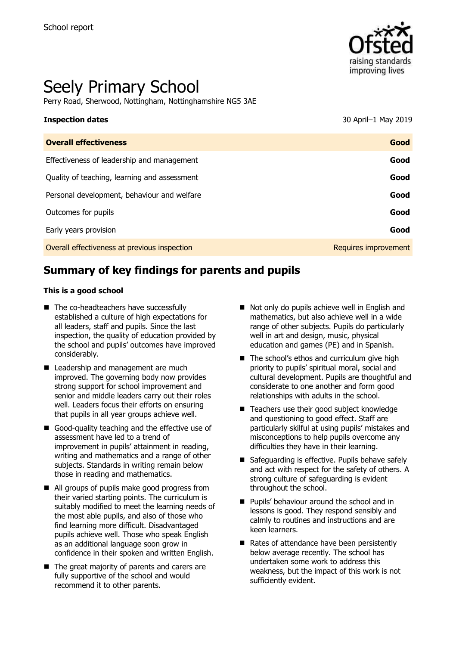

# Seely Primary School

Perry Road, Sherwood, Nottingham, Nottinghamshire NG5 3AE

### **Inspection dates** 30 April–1 May 2019

| <b>Overall effectiveness</b>                 | Good                 |
|----------------------------------------------|----------------------|
| Effectiveness of leadership and management   | Good                 |
| Quality of teaching, learning and assessment | Good                 |
| Personal development, behaviour and welfare  | Good                 |
| Outcomes for pupils                          | Good                 |
| Early years provision                        | Good                 |
| Overall effectiveness at previous inspection | Requires improvement |

# **Summary of key findings for parents and pupils**

#### **This is a good school**

- The co-headteachers have successfully established a culture of high expectations for all leaders, staff and pupils. Since the last inspection, the quality of education provided by the school and pupils' outcomes have improved considerably.
- Leadership and management are much improved. The governing body now provides strong support for school improvement and senior and middle leaders carry out their roles well. Leaders focus their efforts on ensuring that pupils in all year groups achieve well.
- Good-quality teaching and the effective use of assessment have led to a trend of improvement in pupils' attainment in reading, writing and mathematics and a range of other subjects. Standards in writing remain below those in reading and mathematics.
- All groups of pupils make good progress from their varied starting points. The curriculum is suitably modified to meet the learning needs of the most able pupils, and also of those who find learning more difficult. Disadvantaged pupils achieve well. Those who speak English as an additional language soon grow in confidence in their spoken and written English.
- The great majority of parents and carers are fully supportive of the school and would recommend it to other parents.
- Not only do pupils achieve well in English and mathematics, but also achieve well in a wide range of other subjects. Pupils do particularly well in art and design, music, physical education and games (PE) and in Spanish.
- $\blacksquare$  The school's ethos and curriculum give high priority to pupils' spiritual moral, social and cultural development. Pupils are thoughtful and considerate to one another and form good relationships with adults in the school.
- Teachers use their good subject knowledge and questioning to good effect. Staff are particularly skilful at using pupils' mistakes and misconceptions to help pupils overcome any difficulties they have in their learning.
- Safeguarding is effective. Pupils behave safely and act with respect for the safety of others. A strong culture of safeguarding is evident throughout the school.
- **Pupils' behaviour around the school and in** lessons is good. They respond sensibly and calmly to routines and instructions and are keen learners.
- Rates of attendance have been persistently below average recently. The school has undertaken some work to address this weakness, but the impact of this work is not sufficiently evident.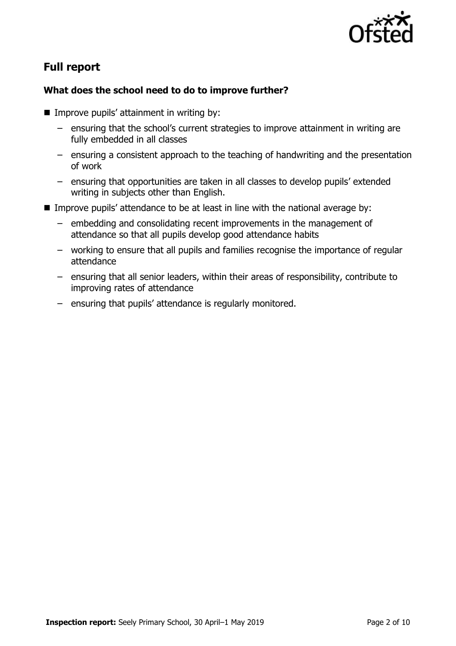

# **Full report**

### **What does the school need to do to improve further?**

- $\blacksquare$  Improve pupils' attainment in writing by:
	- ensuring that the school's current strategies to improve attainment in writing are fully embedded in all classes
	- ensuring a consistent approach to the teaching of handwriting and the presentation of work
	- ensuring that opportunities are taken in all classes to develop pupils' extended writing in subjects other than English.
- Improve pupils' attendance to be at least in line with the national average by:
	- embedding and consolidating recent improvements in the management of attendance so that all pupils develop good attendance habits
	- working to ensure that all pupils and families recognise the importance of regular attendance
	- ensuring that all senior leaders, within their areas of responsibility, contribute to improving rates of attendance
	- ensuring that pupils' attendance is regularly monitored.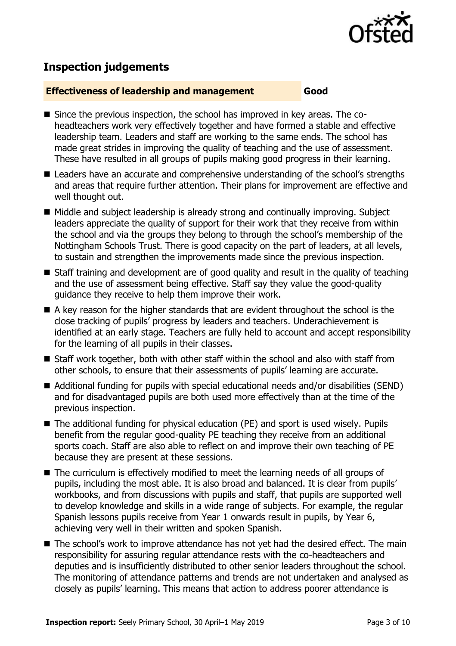

# **Inspection judgements**

#### **Effectiveness of leadership and management Good**

- Since the previous inspection, the school has improved in key areas. The coheadteachers work very effectively together and have formed a stable and effective leadership team. Leaders and staff are working to the same ends. The school has made great strides in improving the quality of teaching and the use of assessment. These have resulted in all groups of pupils making good progress in their learning.
- Leaders have an accurate and comprehensive understanding of the school's strengths and areas that require further attention. Their plans for improvement are effective and well thought out.
- $\blacksquare$  Middle and subject leadership is already strong and continually improving. Subject leaders appreciate the quality of support for their work that they receive from within the school and via the groups they belong to through the school's membership of the Nottingham Schools Trust. There is good capacity on the part of leaders, at all levels, to sustain and strengthen the improvements made since the previous inspection.
- Staff training and development are of good quality and result in the quality of teaching and the use of assessment being effective. Staff say they value the good-quality guidance they receive to help them improve their work.
- A key reason for the higher standards that are evident throughout the school is the close tracking of pupils' progress by leaders and teachers. Underachievement is identified at an early stage. Teachers are fully held to account and accept responsibility for the learning of all pupils in their classes.
- Staff work together, both with other staff within the school and also with staff from other schools, to ensure that their assessments of pupils' learning are accurate.
- Additional funding for pupils with special educational needs and/or disabilities (SEND) and for disadvantaged pupils are both used more effectively than at the time of the previous inspection.
- The additional funding for physical education (PE) and sport is used wisely. Pupils benefit from the regular good-quality PE teaching they receive from an additional sports coach. Staff are also able to reflect on and improve their own teaching of PE because they are present at these sessions.
- The curriculum is effectively modified to meet the learning needs of all groups of pupils, including the most able. It is also broad and balanced. It is clear from pupils' workbooks, and from discussions with pupils and staff, that pupils are supported well to develop knowledge and skills in a wide range of subjects. For example, the regular Spanish lessons pupils receive from Year 1 onwards result in pupils, by Year 6, achieving very well in their written and spoken Spanish.
- The school's work to improve attendance has not yet had the desired effect. The main responsibility for assuring regular attendance rests with the co-headteachers and deputies and is insufficiently distributed to other senior leaders throughout the school. The monitoring of attendance patterns and trends are not undertaken and analysed as closely as pupils' learning. This means that action to address poorer attendance is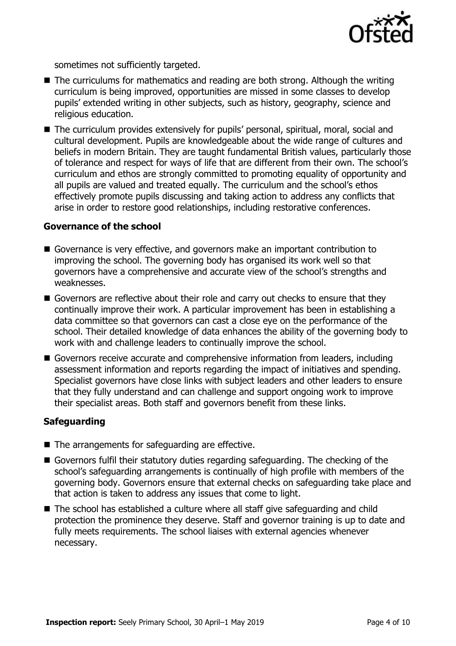

sometimes not sufficiently targeted.

- The curriculums for mathematics and reading are both strong. Although the writing curriculum is being improved, opportunities are missed in some classes to develop pupils' extended writing in other subjects, such as history, geography, science and religious education.
- The curriculum provides extensively for pupils' personal, spiritual, moral, social and cultural development. Pupils are knowledgeable about the wide range of cultures and beliefs in modern Britain. They are taught fundamental British values, particularly those of tolerance and respect for ways of life that are different from their own. The school's curriculum and ethos are strongly committed to promoting equality of opportunity and all pupils are valued and treated equally. The curriculum and the school's ethos effectively promote pupils discussing and taking action to address any conflicts that arise in order to restore good relationships, including restorative conferences.

#### **Governance of the school**

- Governance is very effective, and governors make an important contribution to improving the school. The governing body has organised its work well so that governors have a comprehensive and accurate view of the school's strengths and weaknesses.
- Governors are reflective about their role and carry out checks to ensure that they continually improve their work. A particular improvement has been in establishing a data committee so that governors can cast a close eye on the performance of the school. Their detailed knowledge of data enhances the ability of the governing body to work with and challenge leaders to continually improve the school.
- Governors receive accurate and comprehensive information from leaders, including assessment information and reports regarding the impact of initiatives and spending. Specialist governors have close links with subject leaders and other leaders to ensure that they fully understand and can challenge and support ongoing work to improve their specialist areas. Both staff and governors benefit from these links.

#### **Safeguarding**

- The arrangements for safeguarding are effective.
- Governors fulfil their statutory duties regarding safeguarding. The checking of the school's safeguarding arrangements is continually of high profile with members of the governing body. Governors ensure that external checks on safeguarding take place and that action is taken to address any issues that come to light.
- The school has established a culture where all staff give safeguarding and child protection the prominence they deserve. Staff and governor training is up to date and fully meets requirements. The school liaises with external agencies whenever necessary.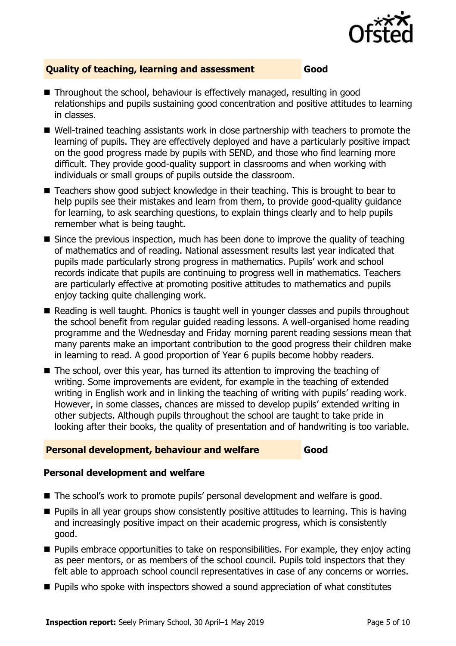

### **Quality of teaching, learning and assessment Good**

- Throughout the school, behaviour is effectively managed, resulting in good relationships and pupils sustaining good concentration and positive attitudes to learning in classes.
- Well-trained teaching assistants work in close partnership with teachers to promote the learning of pupils. They are effectively deployed and have a particularly positive impact on the good progress made by pupils with SEND, and those who find learning more difficult. They provide good-quality support in classrooms and when working with individuals or small groups of pupils outside the classroom.
- Teachers show good subject knowledge in their teaching. This is brought to bear to help pupils see their mistakes and learn from them, to provide good-quality guidance for learning, to ask searching questions, to explain things clearly and to help pupils remember what is being taught.
- $\blacksquare$  Since the previous inspection, much has been done to improve the quality of teaching of mathematics and of reading. National assessment results last year indicated that pupils made particularly strong progress in mathematics. Pupils' work and school records indicate that pupils are continuing to progress well in mathematics. Teachers are particularly effective at promoting positive attitudes to mathematics and pupils enjoy tacking quite challenging work.
- Reading is well taught. Phonics is taught well in younger classes and pupils throughout the school benefit from regular guided reading lessons. A well-organised home reading programme and the Wednesday and Friday morning parent reading sessions mean that many parents make an important contribution to the good progress their children make in learning to read. A good proportion of Year 6 pupils become hobby readers.
- $\blacksquare$  The school, over this year, has turned its attention to improving the teaching of writing. Some improvements are evident, for example in the teaching of extended writing in English work and in linking the teaching of writing with pupils' reading work. However, in some classes, chances are missed to develop pupils' extended writing in other subjects. Although pupils throughout the school are taught to take pride in looking after their books, the quality of presentation and of handwriting is too variable.

#### **Personal development, behaviour and welfare Good**

### **Personal development and welfare**

- The school's work to promote pupils' personal development and welfare is good.
- **Pupils in all year groups show consistently positive attitudes to learning. This is having** and increasingly positive impact on their academic progress, which is consistently good.
- **Pupils embrace opportunities to take on responsibilities. For example, they enjoy acting** as peer mentors, or as members of the school council. Pupils told inspectors that they felt able to approach school council representatives in case of any concerns or worries.
- **Pupils who spoke with inspectors showed a sound appreciation of what constitutes**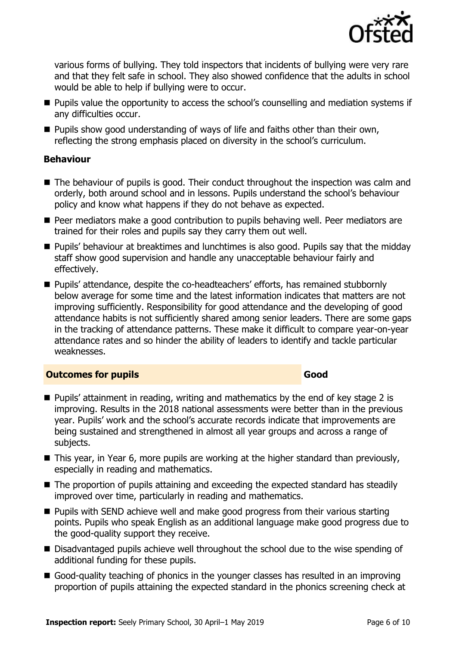

various forms of bullying. They told inspectors that incidents of bullying were very rare and that they felt safe in school. They also showed confidence that the adults in school would be able to help if bullying were to occur.

- **Pupils value the opportunity to access the school's counselling and mediation systems if** any difficulties occur.
- **Pupils show good understanding of ways of life and faiths other than their own,** reflecting the strong emphasis placed on diversity in the school's curriculum.

### **Behaviour**

- The behaviour of pupils is good. Their conduct throughout the inspection was calm and orderly, both around school and in lessons. Pupils understand the school's behaviour policy and know what happens if they do not behave as expected.
- **Peer mediators make a good contribution to pupils behaving well. Peer mediators are** trained for their roles and pupils say they carry them out well.
- **Pupils' behaviour at breaktimes and lunchtimes is also good. Pupils say that the midday** staff show good supervision and handle any unacceptable behaviour fairly and effectively.
- Pupils' attendance, despite the co-headteachers' efforts, has remained stubbornly below average for some time and the latest information indicates that matters are not improving sufficiently. Responsibility for good attendance and the developing of good attendance habits is not sufficiently shared among senior leaders. There are some gaps in the tracking of attendance patterns. These make it difficult to compare year-on-year attendance rates and so hinder the ability of leaders to identify and tackle particular weaknesses.

### **Outcomes for pupils Good**

- Pupils' attainment in reading, writing and mathematics by the end of key stage 2 is improving. Results in the 2018 national assessments were better than in the previous year. Pupils' work and the school's accurate records indicate that improvements are being sustained and strengthened in almost all year groups and across a range of subjects.
- This year, in Year 6, more pupils are working at the higher standard than previously, especially in reading and mathematics.
- The proportion of pupils attaining and exceeding the expected standard has steadily improved over time, particularly in reading and mathematics.
- **Pupils with SEND achieve well and make good progress from their various starting** points. Pupils who speak English as an additional language make good progress due to the good-quality support they receive.
- Disadvantaged pupils achieve well throughout the school due to the wise spending of additional funding for these pupils.
- Good-quality teaching of phonics in the younger classes has resulted in an improving proportion of pupils attaining the expected standard in the phonics screening check at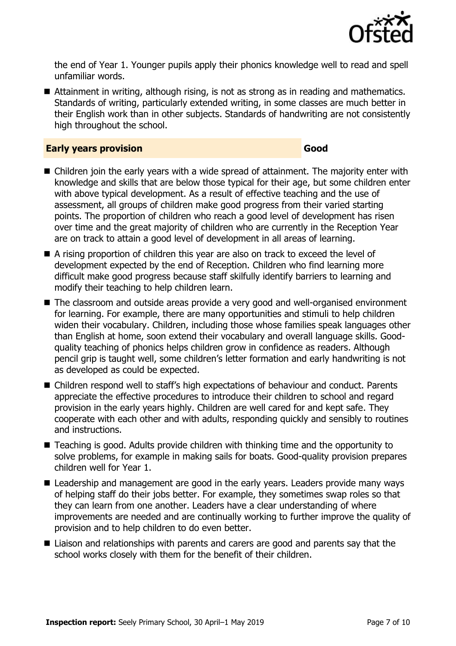

the end of Year 1. Younger pupils apply their phonics knowledge well to read and spell unfamiliar words.

■ Attainment in writing, although rising, is not as strong as in reading and mathematics. Standards of writing, particularly extended writing, in some classes are much better in their English work than in other subjects. Standards of handwriting are not consistently high throughout the school.

#### **Early years provision Good**

- Children join the early years with a wide spread of attainment. The majority enter with knowledge and skills that are below those typical for their age, but some children enter with above typical development. As a result of effective teaching and the use of assessment, all groups of children make good progress from their varied starting points. The proportion of children who reach a good level of development has risen over time and the great majority of children who are currently in the Reception Year are on track to attain a good level of development in all areas of learning.
- A rising proportion of children this year are also on track to exceed the level of development expected by the end of Reception. Children who find learning more difficult make good progress because staff skilfully identify barriers to learning and modify their teaching to help children learn.
- The classroom and outside areas provide a very good and well-organised environment for learning. For example, there are many opportunities and stimuli to help children widen their vocabulary. Children, including those whose families speak languages other than English at home, soon extend their vocabulary and overall language skills. Goodquality teaching of phonics helps children grow in confidence as readers. Although pencil grip is taught well, some children's letter formation and early handwriting is not as developed as could be expected.
- Children respond well to staff's high expectations of behaviour and conduct. Parents appreciate the effective procedures to introduce their children to school and regard provision in the early years highly. Children are well cared for and kept safe. They cooperate with each other and with adults, responding quickly and sensibly to routines and instructions.
- Teaching is good. Adults provide children with thinking time and the opportunity to solve problems, for example in making sails for boats. Good-quality provision prepares children well for Year 1.
- Leadership and management are good in the early years. Leaders provide many ways of helping staff do their jobs better. For example, they sometimes swap roles so that they can learn from one another. Leaders have a clear understanding of where improvements are needed and are continually working to further improve the quality of provision and to help children to do even better.
- Liaison and relationships with parents and carers are good and parents say that the school works closely with them for the benefit of their children.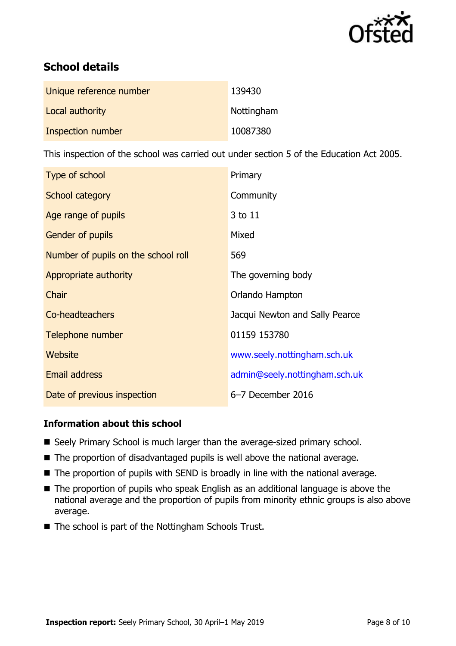

# **School details**

| Unique reference number | 139430     |
|-------------------------|------------|
| Local authority         | Nottingham |
| Inspection number       | 10087380   |

This inspection of the school was carried out under section 5 of the Education Act 2005.

| Type of school                      | Primary                        |
|-------------------------------------|--------------------------------|
| School category                     | Community                      |
| Age range of pupils                 | 3 to 11                        |
| <b>Gender of pupils</b>             | Mixed                          |
| Number of pupils on the school roll | 569                            |
| Appropriate authority               | The governing body             |
| Chair                               | Orlando Hampton                |
| Co-headteachers                     | Jacqui Newton and Sally Pearce |
| Telephone number                    | 01159 153780                   |
| Website                             | www.seely.nottingham.sch.uk    |
| Email address                       | admin@seely.nottingham.sch.uk  |
| Date of previous inspection         | 6-7 December 2016              |

### **Information about this school**

- Seely Primary School is much larger than the average-sized primary school.
- The proportion of disadvantaged pupils is well above the national average.
- The proportion of pupils with SEND is broadly in line with the national average.
- The proportion of pupils who speak English as an additional language is above the national average and the proportion of pupils from minority ethnic groups is also above average.
- The school is part of the Nottingham Schools Trust.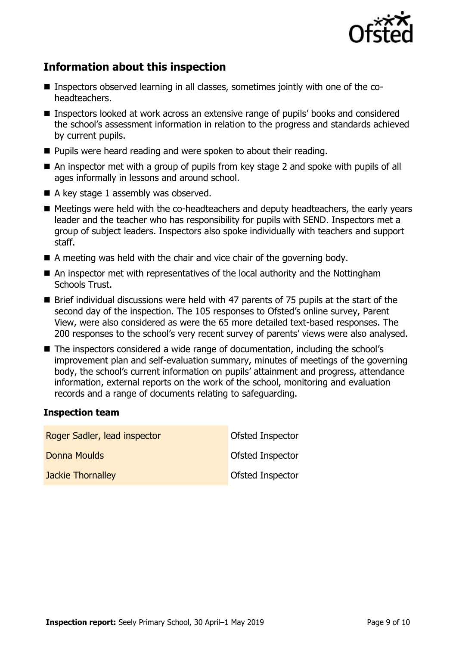

# **Information about this inspection**

- Inspectors observed learning in all classes, sometimes jointly with one of the coheadteachers.
- Inspectors looked at work across an extensive range of pupils' books and considered the school's assessment information in relation to the progress and standards achieved by current pupils.
- **Pupils were heard reading and were spoken to about their reading.**
- An inspector met with a group of pupils from key stage 2 and spoke with pupils of all ages informally in lessons and around school.
- A key stage 1 assembly was observed.
- Meetings were held with the co-headteachers and deputy headteachers, the early years leader and the teacher who has responsibility for pupils with SEND. Inspectors met a group of subject leaders. Inspectors also spoke individually with teachers and support staff.
- A meeting was held with the chair and vice chair of the governing body.
- An inspector met with representatives of the local authority and the Nottingham Schools Trust.
- Brief individual discussions were held with 47 parents of 75 pupils at the start of the second day of the inspection. The 105 responses to Ofsted's online survey, Parent View, were also considered as were the 65 more detailed text-based responses. The 200 responses to the school's very recent survey of parents' views were also analysed.
- The inspectors considered a wide range of documentation, including the school's improvement plan and self-evaluation summary, minutes of meetings of the governing body, the school's current information on pupils' attainment and progress, attendance information, external reports on the work of the school, monitoring and evaluation records and a range of documents relating to safeguarding.

#### **Inspection team**

| Roger Sadler, lead inspector | Ofsted Inspector |
|------------------------------|------------------|
| Donna Moulds                 | Ofsted Inspector |
| <b>Jackie Thornalley</b>     | Ofsted Inspector |